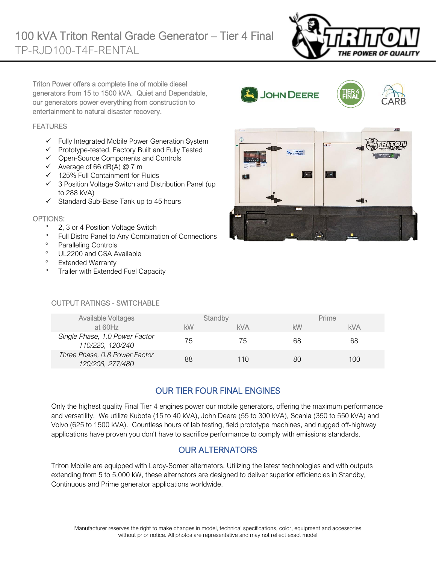

Triton Power offers a complete line of mobile diesel generators from 15 to 1500 kVA. Quiet and Dependable, our generators power everything from construction to entertainment to natural disaster recovery.

#### **FEATURES**

- $\checkmark$  Fully Integrated Mobile Power Generation System
- ✓ Prototype-tested, Factory Built and Fully Tested
- $\checkmark$  Open-Source Components and Controls
- $\checkmark$  Average of 66 dB(A) @ 7 m
- ✓ 125% Full Containment for Fluids
- ✓ 3 Position Voltage Switch and Distribution Panel (up to 288 kVA)
- ✓ Standard Sub-Base Tank up to 45 hours

#### OPTIONS:

- <sup>o</sup> 2, 3 or 4 Position Voltage Switch
- <sup>o</sup> Full Distro Panel to Any Combination of Connections
- <sup>o</sup> Paralleling Controls
- <sup>o</sup> UL2200 and CSA Available
- <sup>o</sup> Extended Warranty
- <sup>o</sup> Trailer with Extended Fuel Capacity



**JOHN DEERE** 

#### OUTPUT RATINGS - SWITCHABLE

| <b>Available Voltages</b>                          |    | Standby    |    | Prime      |
|----------------------------------------------------|----|------------|----|------------|
| at 60Hz                                            | kW | <b>kVA</b> | kW | <b>kVA</b> |
| Single Phase, 1.0 Power Factor<br>110/220, 120/240 | 75 | 75         | 68 | 68         |
| Three Phase, 0.8 Power Factor<br>120/208, 277/480  | 88 | 110        | 80 | 100        |

## OUR TIER FOUR FINAL ENGINES

Only the highest quality Final Tier 4 engines power our mobile generators, offering the maximum performance and versatility. We utilize Kubota (15 to 40 kVA), John Deere (55 to 300 kVA), Scania (350 to 550 kVA) and Volvo (625 to 1500 kVA). Countless hours of lab testing, field prototype machines, and rugged off-highway applications have proven you don't have to sacrifice performance to comply with emissions standards.

#### OUR ALTERNATORS

Triton Mobile are equipped with Leroy-Somer alternators. Utilizing the latest technologies and with outputs extending from 5 to 5,000 kW, these alternators are designed to deliver superior efficiencies in Standby, Continuous and Prime generator applications worldwide.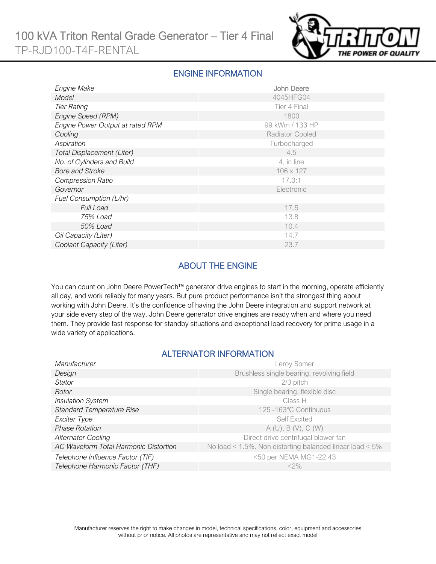

#### ENGINE INFORMATION

| Engine Make                       | John Deere             |
|-----------------------------------|------------------------|
| Model                             | 4045HFG04              |
| <b>Tier Rating</b>                | Tier 4 Final           |
| Engine Speed (RPM)                | 1800                   |
| Engine Power Output at rated RPM  | 99 kWm / 133 HP        |
| Cooling                           | <b>Radiator Cooled</b> |
| Aspiration                        | Turbocharged           |
| <b>Total Displacement (Liter)</b> | 4.5                    |
| No. of Cylinders and Build        | 4, in line             |
| <b>Bore and Stroke</b>            | 106 x 127              |
| <b>Compression Ratio</b>          | 17.0:1                 |
| Governor                          | Electronic             |
| Fuel Consumption (L/hr)           |                        |
| <b>Full Load</b>                  | 17.5                   |
| 75% Load                          | 13.8                   |
| 50% Load                          | 10.4                   |
| Oil Capacity (Liter)              | 14.7                   |
| Coolant Capacity (Liter)          | 23.7                   |

## ABOUT THE ENGINE

You can count on John Deere PowerTech™ generator drive engines to start in the morning, operate efficiently all day, and work reliably for many years. But pure product performance isn't the strongest thing about working with John Deere. It's the confidence of having the John Deere integration and support network at your side every step of the way. John Deere generator drive engines are ready when and where you need them. They provide fast response for standby situations and exceptional load recovery for prime usage in a wide variety of applications.

#### ALTERNATOR INFORMATION

| Manufacturer                          | Leroy Somer                                                     |
|---------------------------------------|-----------------------------------------------------------------|
| Design                                | Brushless single bearing, revolving field                       |
| Stator                                | 2/3 pitch                                                       |
| Rotor                                 | Single bearing, flexible disc                                   |
| <b>Insulation System</b>              | Class H                                                         |
| <b>Standard Temperature Rise</b>      | 125 -163°C Continuous                                           |
| Exciter Type                          | <b>Self Excited</b>                                             |
| <b>Phase Rotation</b>                 | A(U), B(V), C(W)                                                |
| <b>Alternator Cooling</b>             | Direct drive centrifugal blower fan                             |
| AC Waveform Total Harmonic Distortion | No load < $1.5\%$ . Non distorting balanced linear load < $5\%$ |
| Telephone Influence Factor (TIF)      | <50 per NEMA MG1-22.43                                          |
| Telephone Harmonic Factor (THF)       | $<$ 2%                                                          |
|                                       |                                                                 |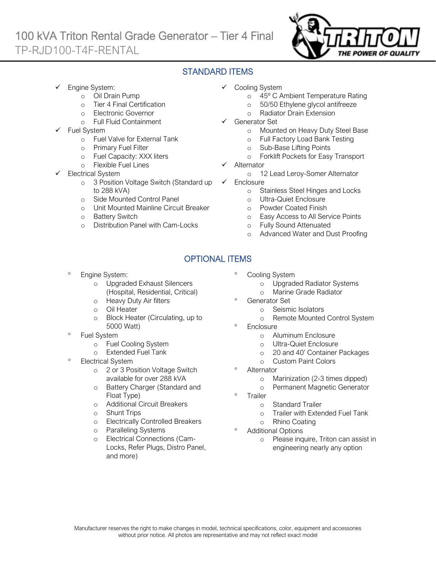# 100 kVA Triton Rental Grade Generator – Tier 4 Final TP-RJD100-T4F-RENTAL



## STANDARD ITEMS

- Engine System:
	- o Oil Drain Pump
	- o Tier 4 Final Certification
	- o Electronic Governor
	- o Full Fluid Containment
- Fuel System
	- o Fuel Valve for External Tank
	- o Primary Fuel Filter
	- o Fuel Capacity: XXX liters
	- o Flexible Fuel Lines
- Electrical System
	- o 3 Position Voltage Switch (Standard up to 288 kVA)
	- o Side Mounted Control Panel
	- o Unit Mounted Mainline Circuit Breaker
	- o Battery Switch
	- o Distribution Panel with Cam-Locks
- ✓ Cooling System
	- o 45º C Ambient Temperature Rating
	- o 50/50 Ethylene glycol antifreeze
	- o Radiator Drain Extension
- Generator Set
	- o Mounted on Heavy Duty Steel Base
	- o Full Factory Load Bank Testing
	- o Sub-Base Lifting Points
	- o Forklift Pockets for Easy Transport
- **Alternator** 
	- o 12 Lead Leroy-Somer Alternator
- ✓ Enclosure
	- o Stainless Steel Hinges and Locks
	- o Ultra-Quiet Enclosure
	- o Powder Coated Finish
	- o Easy Access to All Service Points
	- o Fully Sound Attenuated
	- o Advanced Water and Dust Proofing

## OPTIONAL ITEMS

- Engine System:
	- o Upgraded Exhaust Silencers (Hospital, Residential, Critical)
	- o Heavy Duty Air filters
	- o Oil Heater
	- o Block Heater (Circulating, up to 5000 Watt)
- Fuel System
	- o Fuel Cooling System
	- o Extended Fuel Tank
- Electrical System
	- o 2 or 3 Position Voltage Switch available for over 288 kVA
	- o Battery Charger (Standard and Float Type)
	- o Additional Circuit Breakers
	- o Shunt Trips
	- o Electrically Controlled Breakers
	- o Paralleling Systems
	- o Electrical Connections (Cam-Locks, Refer Plugs, Distro Panel, and more)
- Cooling System
	- o Upgraded Radiator Systems
	- o Marine Grade Radiator
- Generator Set
	- o Seismic Isolators
	- o Remote Mounted Control System
- <sup>o</sup> Enclosure
	- o Aluminum Enclosure
	- o Ultra-Quiet Enclosure
	- o 20 and 40' Container Packages
	- o Custom Paint Colors
- **Alternator** 
	- o Marinization (2-3 times dipped)
	- o Permanent Magnetic Generator
- Trailer
	- o Standard Trailer
	- o Trailer with Extended Fuel Tank
	- o Rhino Coating
- Additional Options
	- o Please inquire, Triton can assist in engineering nearly any option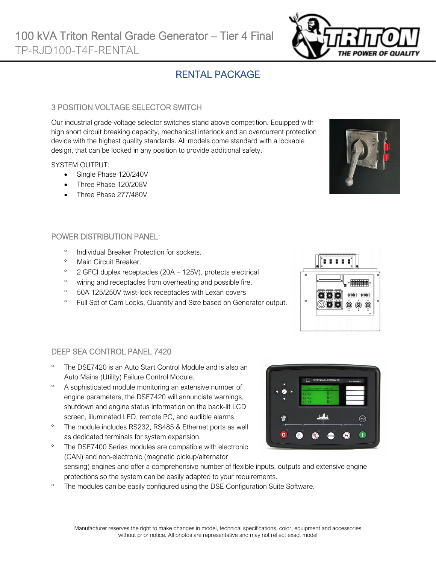# RENTAL PACKAGE

#### 3 POSITION VOLTAGE SELECTOR SWITCH

Our industrial grade voltage selector switches stand above competition. Equipped with high short circuit breaking capacity, mechanical interlock and an overcurrent protection device with the highest quality standards. All models come standard with a lockable design, that can be locked in any position to provide additional safety.

#### SYSTEM OUTPUT:

- Single Phase 120/240V
- Three Phase 120/208V
- Three Phase 277/480V

#### POWER DISTRIBUTION PANEL:

- <sup>o</sup> Individual Breaker Protection for sockets.
- <sup>o</sup> Main Circuit Breaker.

DEEP SEA CONTROL PANEL 7420

- $\degree$  2 GFCI duplex receptacles (20A 125V), protects electrical
- <sup>o</sup> wiring and receptacles from overheating and possible fire.
- <sup>o</sup> 50A 125/250V twist-lock receptacles with Lexan covers
- <sup>o</sup> Full Set of Cam Locks, Quantity and Size based on Generator output.



- A sophisticated module monitoring an extensive number of engine parameters, the DSE7420 will annunciate warnings, shutdown and engine status information on the back-lit LCD screen, illuminated LED, remote PC, and audible alarms.
- <sup>o</sup> The module includes RS232, RS485 & Ethernet ports as well as dedicated terminals for system expansion.
- The DSE7400 Series modules are compatible with electronic (CAN) and non-electronic (magnetic pickup/alternator sensing) engines and offer a comprehensive number of flexible inputs, outputs and extensive engine protections so the system can be easily adapted to your requirements.
- <sup>o</sup> The modules can be easily configured using the DSE Configuration Suite Software.



 $\widehat{\sim}$ 

 $\blacksquare$